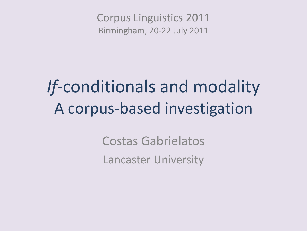Corpus Linguistics 2011 Birmingham, 20-22 July 2011

# *If-*conditionals and modality A corpus-based investigation

Costas Gabrielatos Lancaster University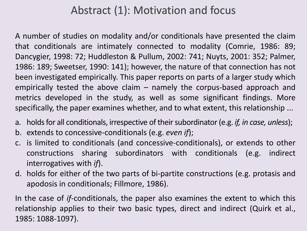#### Abstract (1): Motivation and focus

A number of studies on modality and/or conditionals have presented the claim that conditionals are intimately connected to modality (Comrie, 1986: 89; Dancygier, 1998: 72; Huddleston & Pullum, 2002: 741; Nuyts, 2001: 352; Palmer, 1986: 189; Sweetser, 1990: 141); however, the nature of that connection has not been investigated empirically. This paper reports on parts of a larger study which empirically tested the above claim – namely the corpus-based approach and metrics developed in the study, as well as some significant findings. More specifically, the paper examines whether, and to what extent, this relationship ...

- a. holds for all conditionals, irrespective of their subordinator (e.g. *if, in case, unless*);
- b. extends to concessive-conditionals (e.g. *even if*);
- c. is limited to conditionals (and concessive-conditionals), or extends to other constructions sharing subordinators with conditionals (e.g. indirect interrogatives with *if*).
- d. holds for either of the two parts of bi-partite constructions (e.g. protasis and apodosis in conditionals; Fillmore, 1986).

In the case of *if*-conditionals, the paper also examines the extent to which this relationship applies to their two basic types, direct and indirect (Quirk et al., 1985: 1088-1097).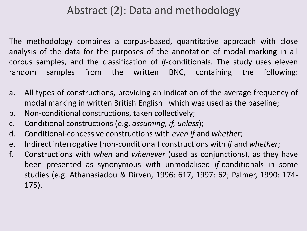#### Abstract (2): Data and methodology

The methodology combines a corpus-based, quantitative approach with close analysis of the data for the purposes of the annotation of modal marking in all corpus samples, and the classification of *if*-conditionals. The study uses eleven random samples from the written BNC, containing the following:

- a. All types of constructions, providing an indication of the average frequency of modal marking in written British English –which was used as the baseline;
- b. Non-conditional constructions, taken collectively;
- c. Conditional constructions (e.g. *assuming, if, unless*);
- d. Conditional-concessive constructions with *even if* and *whether*;
- e. Indirect interrogative (non-conditional) constructions with *if* and *whether*;
- f. Constructions with *when* and *whenever* (used as conjunctions), as they have been presented as synonymous with unmodalised *if*-conditionals in some studies (e.g. Athanasiadou & Dirven, 1996: 617, 1997: 62; Palmer, 1990: 174- 175).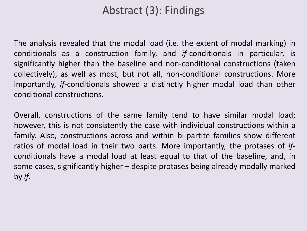#### Abstract (3): Findings

The analysis revealed that the modal load (i.e. the extent of modal marking) in conditionals as a construction family, and *if*-conditionals in particular, is significantly higher than the baseline and non-conditional constructions (taken collectively), as well as most, but not all, non-conditional constructions. More importantly, *if*-conditionals showed a distinctly higher modal load than other conditional constructions.

Overall, constructions of the same family tend to have similar modal load; however, this is not consistently the case with individual constructions within a family. Also, constructions across and within bi-partite families show different ratios of modal load in their two parts. More importantly, the protases of *if*conditionals have a modal load at least equal to that of the baseline, and, in some cases, significantly higher – despite protases being already modally marked by *if*.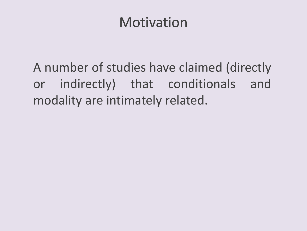### Motivation

A number of studies have claimed (directly or indirectly) that conditionals and modality are intimately related.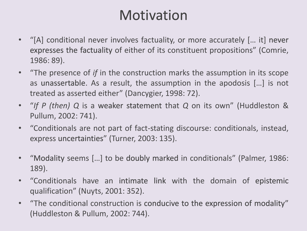### Motivation

- "[A] conditional never involves factuality, or more accurately [… it] never expresses the factuality of either of its constituent propositions" (Comrie, 1986: 89).
- "The presence of *if* in the construction marks the assumption in its scope as unassertable. As a result, the assumption in the apodosis […] is not treated as asserted either" (Dancygier, 1998: 72).
- "*If P (then) Q* is a weaker statement that *Q* on its own" (Huddleston & Pullum, 2002: 741).
- "Conditionals are not part of fact-stating discourse: conditionals, instead, express uncertainties" (Turner, 2003: 135).
- "Modality seems […] to be doubly marked in conditionals" (Palmer, 1986: 189).
- "Conditionals have an intimate link with the domain of epistemic qualification" (Nuyts, 2001: 352).
- "The conditional construction is conducive to the expression of modality" (Huddleston & Pullum, 2002: 744).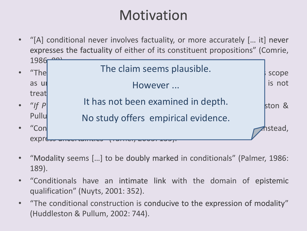### Motivation

- "[A] conditional never involves factuality, or more accurately [… it] never expresses the factuality of either of its constituent propositions" (Comrie, 1986 • "The **iff in the claim seems plausible.** as unassertable. As results as results for the assumption in the assumption in the apodosis  $\vert$  is not treat $\vert$ • "*If P* It has not been examined in depth. Pullu • "Conditionals are not part of fact-stating discourse: conditionals, instead, instead, instead, instead, instead, instead, instead, instead, instead, instead, instead, instead, instead, instead, instead, instead, instead, express ancertameres No study offers empirical evidence.
- "Modality seems […] to be doubly marked in conditionals" (Palmer, 1986: 189).
- "Conditionals have an intimate link with the domain of epistemic qualification" (Nuyts, 2001: 352).
- "The conditional construction is conducive to the expression of modality" (Huddleston & Pullum, 2002: 744).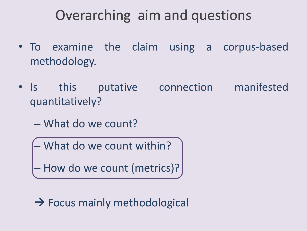### Overarching aim and questions

- To examine the claim using a corpus-based methodology.
- Is this putative connection manifested quantitatively?
	- What do we count?
		- What do we count within?
		- How do we count (metrics)?

 $\rightarrow$  Focus mainly methodological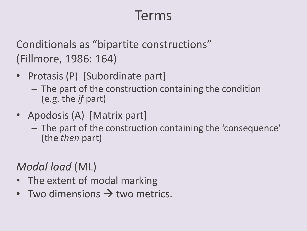### Terms

Conditionals as "bipartite constructions" (Fillmore, 1986: 164)

- Protasis (P) [Subordinate part]
	- The part of the construction containing the condition (e.g. the *if* part)
- Apodosis (A) [Matrix part]
	- The part of the construction containing the 'consequence' (the *then* part)

#### *Modal load* (ML)

- The extent of modal marking
- Two dimensions  $\rightarrow$  two metrics.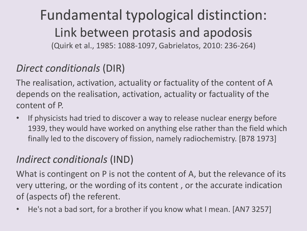Fundamental typological distinction: Link between protasis and apodosis (Quirk et al., 1985: 1088-1097, Gabrielatos, 2010: 236-264)

#### *Direct conditionals* (DIR)

The realisation, activation, actuality or factuality of the content of A depends on the realisation, activation, actuality or factuality of the content of P.

• If physicists had tried to discover a way to release nuclear energy before 1939, they would have worked on anything else rather than the field which finally led to the discovery of fission, namely radiochemistry. [B78 1973]

#### *Indirect conditionals* (IND)

What is contingent on P is not the content of A, but the relevance of its very uttering, or the wording of its content , or the accurate indication of (aspects of) the referent.

• He's not a bad sort, for a brother if you know what I mean. [AN7 3257]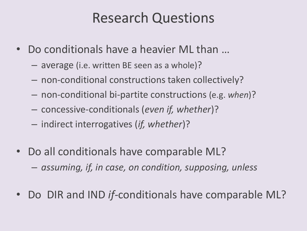### Research Questions

- Do conditionals have a heavier ML than …
	- average (i.e. written BE seen as a whole)?
	- non-conditional constructions taken collectively?
	- non-conditional bi-partite constructions (e.g. *when*)?
	- concessive-conditionals (*even if, whether*)?
	- indirect interrogatives (*if, whether*)?
- Do all conditionals have comparable ML?
	- *assuming, if, in case, on condition, supposing, unless*
- Do DIR and IND *if-*conditionals have comparable ML?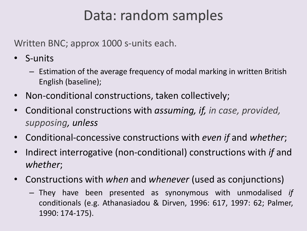### Data: random samples

Written BNC; approx 1000 s-units each.

- S-units
	- Estimation of the average frequency of modal marking in written British English (baseline);
- Non-conditional constructions, taken collectively;
- Conditional constructions with *assuming, if, in case, provided, supposing, unless*
- Conditional-concessive constructions with *even if* and *whether*;
- Indirect interrogative (non-conditional) constructions with *if* and *whether*;
- Constructions with *when* and *whenever* (used as conjunctions)
	- They have been presented as synonymous with unmodalised *if* conditionals (e.g. Athanasiadou & Dirven, 1996: 617, 1997: 62; Palmer, 1990: 174-175).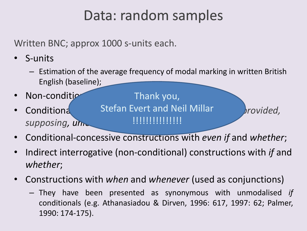### Data: random samples

Written BNC; approx 1000 s-units each.

- S-units
	- Estimation of the average frequency of modal marking in written British English (baseline);
- Non-condition
- Conditiona and Evert and Neil Millar brovided, supposing, un

Thank you, !!!!!!!!!!!!!!!

- Conditional-concessive constructions with *even if* and *whether*;
- Indirect interrogative (non-conditional) constructions with *if* and *whether*;
- Constructions with *when* and *whenever* (used as conjunctions)
	- They have been presented as synonymous with unmodalised *if* conditionals (e.g. Athanasiadou & Dirven, 1996: 617, 1997: 62; Palmer, 1990: 174-175).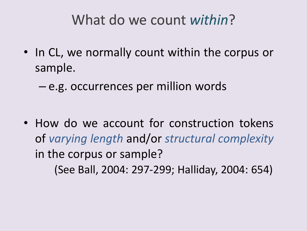### What do we count *within*?

- In CL, we normally count within the corpus or sample.
	- e.g. occurrences per million words

• How do we account for construction tokens of *varying length* and/or *structural complexity* in the corpus or sample? (See Ball, 2004: 297-299; Halliday, 2004: 654)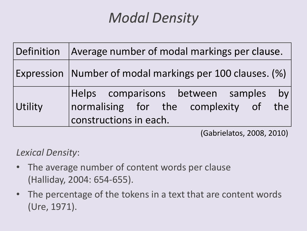## *Modal Density*

|         | Definition   Average number of modal markings per clause.                                               |  |  |
|---------|---------------------------------------------------------------------------------------------------------|--|--|
|         | Expression   Number of modal markings per 100 clauses. (%)                                              |  |  |
| Utility | Helps comparisons between samples by<br>normalising for the complexity of the<br>constructions in each. |  |  |

(Gabrielatos, 2008, 2010)

*Lexical Density*:

- The average number of content words per clause (Halliday, 2004: 654-655).
- The percentage of the tokens in a text that are content words (Ure, 1971).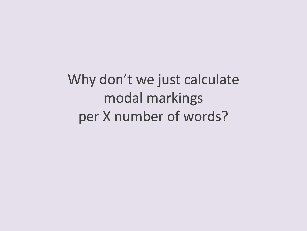Why don't we just calculate modal markings per X number of words?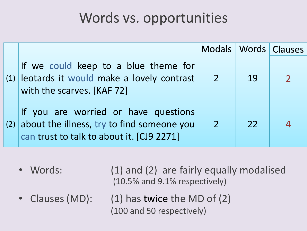### Words vs. opportunities

|     |                                                                                                                                 |                     |      | Modals   Words   Clauses |
|-----|---------------------------------------------------------------------------------------------------------------------------------|---------------------|------|--------------------------|
|     | If we could keep to a blue theme for<br>(1) leotards it would make a lovely contrast 2<br>with the scarves. [KAF 72]            |                     | 19   |                          |
| (2) | If you are worried or have questions<br>about the illness, try to find someone you<br>can trust to talk to about it. [CJ9 2271] | $\blacktriangle$ 27 | $22$ |                          |

• Words: (1) and (2) are fairly equally modalised (10.5% and 9.1% respectively)

- 
- Clauses (MD): (1) has twice the MD of (2) (100 and 50 respectively)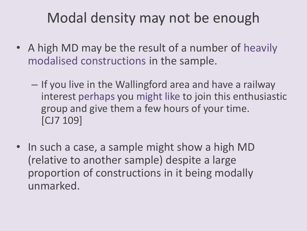### Modal density may not be enough

- A high MD may be the result of a number of heavily modalised constructions in the sample.
	- If you live in the Wallingford area and have a railway interest perhaps you might like to join this enthusiastic group and give them a few hours of your time. [CJ7 109]
- In such a case, a sample might show a high MD (relative to another sample) despite a large proportion of constructions in it being modally unmarked.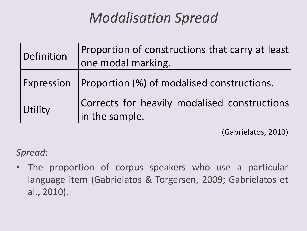## *Modalisation Spread*

| Definition | Proportion of constructions that carry at least<br>one modal marking. |
|------------|-----------------------------------------------------------------------|
|            | Expression   Proportion (%) of modalised constructions.               |
| Utility    | Corrects for heavily modalised constructions<br>in the sample.        |

(Gabrielatos, 2010)

*Spread*:

The proportion of corpus speakers who use a particular language item (Gabrielatos & Torgersen, 2009; Gabrielatos et al., 2010).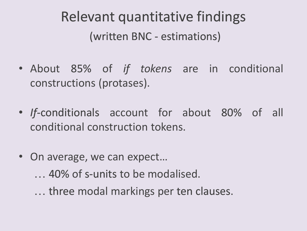## Relevant quantitative findings (written BNC - estimations)

- About 85% of *if tokens* are in conditional constructions (protases).
- *If*-conditionals account for about 80% of all conditional construction tokens.
- On average, we can expect...
	- … 40% of s-units to be modalised.
	- … three modal markings per ten clauses.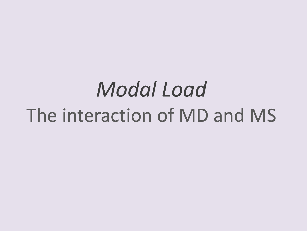# *Modal Load* The interaction of MD and MS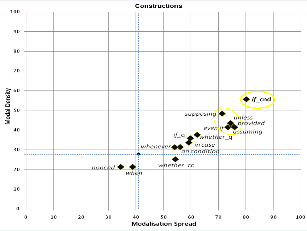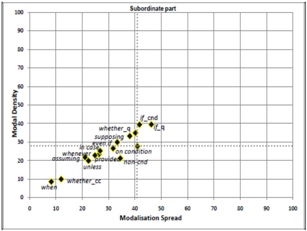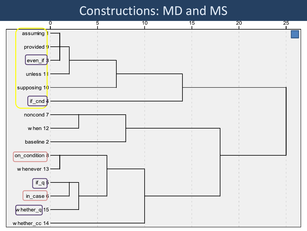#### Constructions: MD and MS

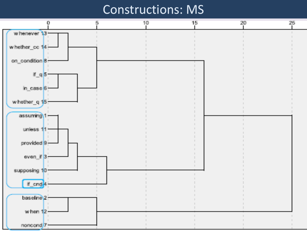#### Constructions: MS

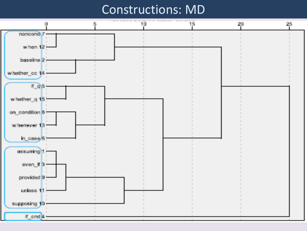#### Constructions: MD

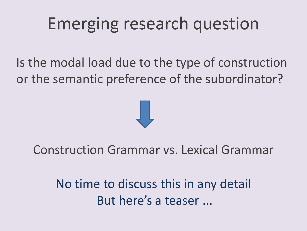# Emerging research question

Is the modal load due to the type of construction or the semantic preference of the subordinator?



#### Construction Grammar vs. Lexical Grammar

No time to discuss this in any detail But here's a teaser ...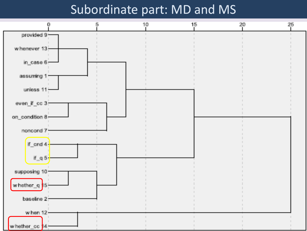#### Subordinate part: MD and MS

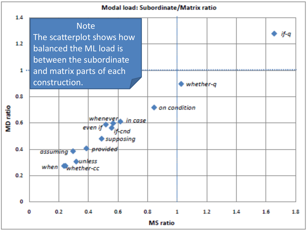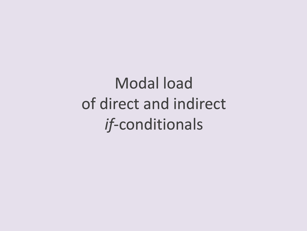Modal load of direct and indirect *if*-conditionals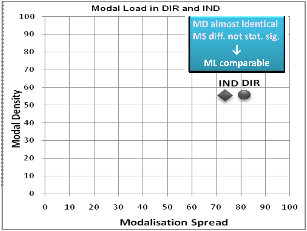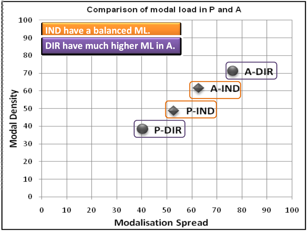#### Comparison of modal load in P and A

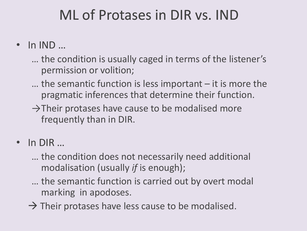### ML of Protases in DIR vs. IND

- In IND ...
	- … the condition is usually caged in terms of the listener's permission or volition;
	- … the semantic function is less important it is more the pragmatic inferences that determine their function.
	- $\rightarrow$ Their protases have cause to be modalised more frequently than in DIR.
- In DIR …
	- … the condition does not necessarily need additional modalisation (usually *if* is enough);
	- … the semantic function is carried out by overt modal marking in apodoses.
	- $\rightarrow$  Their protases have less cause to be modalised.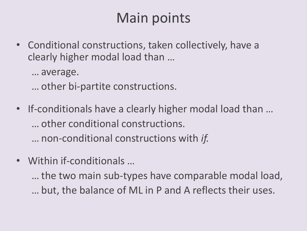### Main points

- Conditional constructions, taken collectively, have a clearly higher modal load than …
	- … average.
	- … other bi-partite constructions.
- If-conditionals have a clearly higher modal load than … … other conditional constructions.
	- … non-conditional constructions with *if.*
- Within if-conditionals …
	- … the two main sub-types have comparable modal load, … but, the balance of ML in P and A reflects their uses.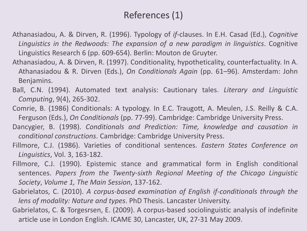#### References (1)

- Athanasiadou, A. & Dirven, R. (1996). Typology of *if*-clauses. In E.H. Casad (Ed.), *Cognitive Linguistics in the Redwoods: The expansion of a new paradigm in linguistics*. Cognitive Linguistics Research 6 (pp. 609-654). Berlin: Mouton de Gruyter.
- Athanasiadou, A. & Dirven, R. (1997). Conditionality, hypotheticality, counterfactuality. In A. Athanasiadou & R. Dirven (Eds.), *On Conditionals Again* (pp. 61–96). Amsterdam: John Benjamins.
- Ball, C.N. (1994). Automated text analysis: Cautionary tales. *Literary and Linguistic Computing*, 9(4), 265-302.
- Comrie, B. (1986) Conditionals: A typology. In E.C. Traugott, A. Meulen, J.S. Reilly & C.A. Ferguson (Eds.), *On Conditionals* (pp. 77-99). Cambridge: Cambridge University Press.
- Dancygier, B. (1998). *Conditionals and Prediction: Time, knowledge and causation in conditional constructions*. Cambridge: Cambridge University Press.
- Fillmore, C.J. (1986). Varieties of conditional sentences. *Eastern States Conference on Linguistics*, Vol. 3, 163-182.
- Fillmore, C.J. (1990). Epistemic stance and grammatical form in English conditional sentences. *Papers from the Twenty-sixth Regional Meeting of the Chicago Linguistic Society*, *Volume 1, The Main Session*, 137-162.
- Gabrielatos, C. (2010). *A corpus-based examination of English if-conditionals through the lens of modality: Nature and types*. PhD Thesis. Lancaster University.
- Gabrielatos, C. & Torgesrsen, E. (2009). A corpus-based sociolinguistic analysis of indefinite article use in London English. ICAME 30, Lancaster, UK, 27-31 May 2009.